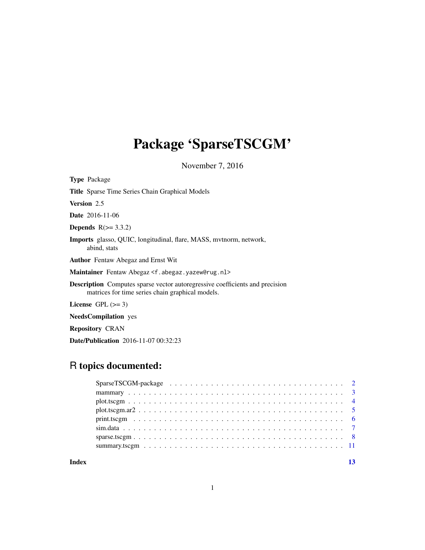# Package 'SparseTSCGM'

November 7, 2016

<span id="page-0-0"></span>Type Package

Title Sparse Time Series Chain Graphical Models Version 2.5 Date 2016-11-06 Depends  $R(>= 3.3.2)$ Imports glasso, QUIC, longitudinal, flare, MASS, mvtnorm, network, abind, stats Author Fentaw Abegaz and Ernst Wit Maintainer Fentaw Abegaz <f.abegaz.yazew@rug.nl> Description Computes sparse vector autoregressive coefficients and precision matrices for time series chain graphical models. License GPL  $(>= 3)$ 

NeedsCompilation yes

Repository CRAN

Date/Publication 2016-11-07 00:32:23

# R topics documented:

| Index |  |  |  |  |  |  |  |  |  |  |  |  |  |  |  |
|-------|--|--|--|--|--|--|--|--|--|--|--|--|--|--|--|
|       |  |  |  |  |  |  |  |  |  |  |  |  |  |  |  |
|       |  |  |  |  |  |  |  |  |  |  |  |  |  |  |  |
|       |  |  |  |  |  |  |  |  |  |  |  |  |  |  |  |
|       |  |  |  |  |  |  |  |  |  |  |  |  |  |  |  |
|       |  |  |  |  |  |  |  |  |  |  |  |  |  |  |  |
|       |  |  |  |  |  |  |  |  |  |  |  |  |  |  |  |
|       |  |  |  |  |  |  |  |  |  |  |  |  |  |  |  |
|       |  |  |  |  |  |  |  |  |  |  |  |  |  |  |  |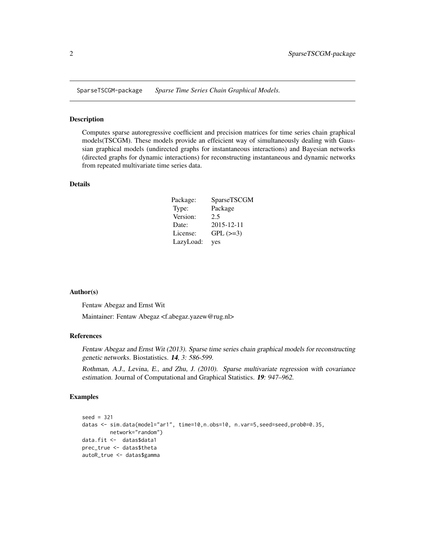<span id="page-1-0"></span>SparseTSCGM-package *Sparse Time Series Chain Graphical Models.*

#### Description

Computes sparse autoregressive coefficient and precision matrices for time series chain graphical models(TSCGM). These models provide an effeicient way of simultaneously dealing with Gaussian graphical models (undirected graphs for instantaneous interactions) and Bayesian networks (directed graphs for dynamic interactions) for reconstructing instantaneous and dynamic networks from repeated multivariate time series data.

#### Details

| Package:  | <b>SparseTSCGM</b> |
|-----------|--------------------|
| Type:     | Package            |
| Version:  | 2.5                |
| Date:     | 2015-12-11         |
| License:  | $GPL (=3)$         |
| LazyLoad: | yes                |

#### Author(s)

Fentaw Abegaz and Ernst Wit

Maintainer: Fentaw Abegaz <f.abegaz.yazew@rug.nl>

## References

Fentaw Abegaz and Ernst Wit (2013). Sparse time series chain graphical models for reconstructing genetic networks. Biostatistics. 14, 3: 586-599.

Rothman, A.J., Levina, E., and Zhu, J. (2010). Sparse multivariate regression with covariance estimation. Journal of Computational and Graphical Statistics. 19: 947–962.

#### Examples

```
seed = 321
datas <- sim.data(model="ar1", time=10,n.obs=10, n.var=5,seed=seed,prob0=0.35,
        network="random")
data.fit <- datas$data1
prec_true <- datas$theta
autoR_true <- datas$gamma
```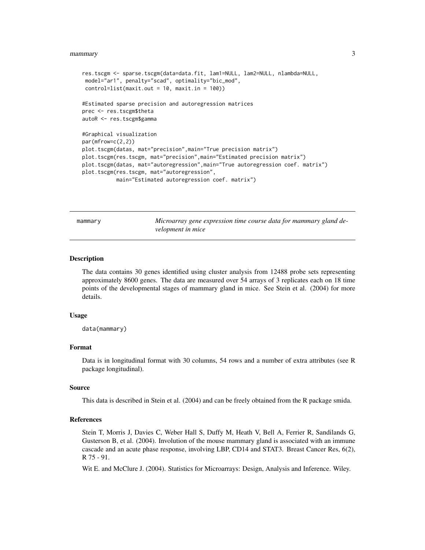#### <span id="page-2-0"></span>mammary 3

```
res.tscgm <- sparse.tscgm(data=data.fit, lam1=NULL, lam2=NULL, nlambda=NULL,
model="ar1", penalty="scad", optimality="bic_mod",
control=list(maxit.out = 10, maxit.in = 100))
#Estimated sparse precision and autoregression matrices
prec <- res.tscgm$theta
autoR <- res.tscgm$gamma
#Graphical visualization
par(mfrow=c(2,2))
plot.tscgm(datas, mat="precision",main="True precision matrix")
plot.tscgm(res.tscgm, mat="precision",main="Estimated precision matrix")
plot.tscgm(datas, mat="autoregression",main="True autoregression coef. matrix")
plot.tscgm(res.tscgm, mat="autoregression",
           main="Estimated autoregression coef. matrix")
```
mammary *Microarray gene expression time course data for mammary gland development in mice*

#### Description

The data contains 30 genes identified using cluster analysis from 12488 probe sets representing approximately 8600 genes. The data are measured over 54 arrays of 3 replicates each on 18 time points of the developmental stages of mammary gland in mice. See Stein et al. (2004) for more details.

#### Usage

data(mammary)

#### Format

Data is in longitudinal format with 30 columns, 54 rows and a number of extra attributes (see R package longitudinal).

#### Source

This data is described in Stein et al. (2004) and can be freely obtained from the R package smida.

#### References

Stein T, Morris J, Davies C, Weber Hall S, Duffy M, Heath V, Bell A, Ferrier R, Sandilands G, Gusterson B, et al. (2004). Involution of the mouse mammary gland is associated with an immune cascade and an acute phase response, involving LBP, CD14 and STAT3. Breast Cancer Res, 6(2), R 75 - 91.

Wit E. and McClure J. (2004). Statistics for Microarrays: Design, Analysis and Inference. Wiley.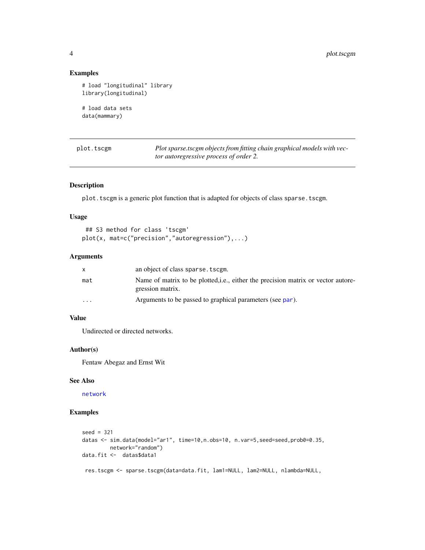## Examples

```
# load "longitudinal" library
library(longitudinal)
```
# load data sets data(mammary)

| plot.tscgm | Plot sparse.tscgm objects from fitting chain graphical models with vec- |
|------------|-------------------------------------------------------------------------|
|            | tor autoregressive process of order 2.                                  |

## Description

plot.tscgm is a generic plot function that is adapted for objects of class sparse.tscgm.

#### Usage

```
## S3 method for class 'tscgm'
plot(x, mat=c("precision","autoregression"),...)
```
## Arguments

| X        | an object of class sparse, tscgm.                                                                     |
|----------|-------------------------------------------------------------------------------------------------------|
| mat      | Name of matrix to be plotted, i.e., either the precision matrix or vector autore-<br>gression matrix. |
| $\cdots$ | Arguments to be passed to graphical parameters (see par).                                             |

## Value

Undirected or directed networks.

### Author(s)

Fentaw Abegaz and Ernst Wit

#### See Also

[network](#page-0-0)

## Examples

```
seed = 321
datas <- sim.data(model="ar1", time=10,n.obs=10, n.var=5,seed=seed,prob0=0.35,
        network="random")
data.fit <- datas$data1
res.tscgm <- sparse.tscgm(data=data.fit, lam1=NULL, lam2=NULL, nlambda=NULL,
```
<span id="page-3-0"></span>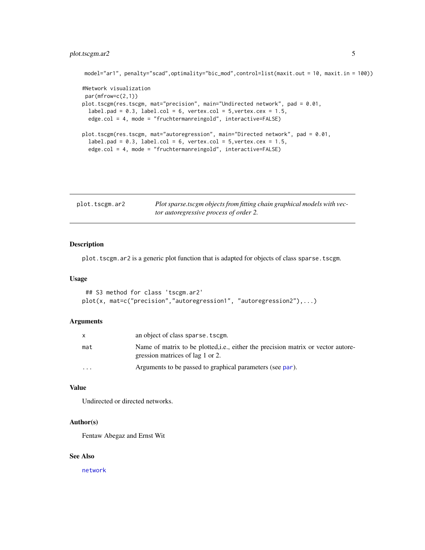## <span id="page-4-0"></span>plot.tscgm.ar2 5

```
model="ar1", penalty="scad",optimality="bic_mod",control=list(maxit.out = 10, maxit.in = 100))
#Network visualization
par(mfrow=c(2,1))
plot.tscgm(res.tscgm, mat="precision", main="Undirected network", pad = 0.01,
 label.pad = 0.3, label.col = 6, vertex.col = 5, vertex.cex = 1.5,
 edge.col = 4, mode = "fruchtermanreingold", interactive=FALSE)
plot.tscgm(res.tscgm, mat="autoregression", main="Directed network", pad = 0.01,
 label.pad = 0.3, label.col = 6, vertex.col = 5, vertex.cex = 1.5,
 edge.col = 4, mode = "fruchtermanreingold", interactive=FALSE)
```

| plot.tscgm.ar2 | Plot sparse.tscgm objects from fitting chain graphical models with vec- |
|----------------|-------------------------------------------------------------------------|
|                | tor autoregressive process of order 2.                                  |

## Description

plot.tscgm.ar2 is a generic plot function that is adapted for objects of class sparse.tscgm.

#### Usage

```
## S3 method for class 'tscgm.ar2'
plot(x, mat=c("precision","autoregression1", "autoregression2"),...)
```
## Arguments

|         | an object of class sparse. tscgm.                                                                                     |
|---------|-----------------------------------------------------------------------------------------------------------------------|
| mat     | Name of matrix to be plotted, i.e., either the precision matrix or vector autore-<br>gression matrices of lag 1 or 2. |
| $\cdot$ | Arguments to be passed to graphical parameters (see par).                                                             |

#### Value

Undirected or directed networks.

#### Author(s)

Fentaw Abegaz and Ernst Wit

#### See Also

[network](#page-0-0)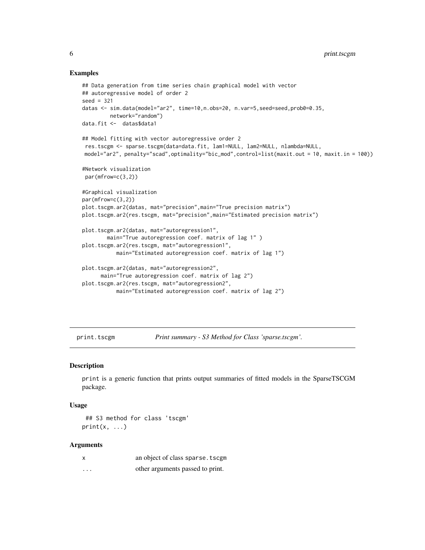#### Examples

```
## Data generation from time series chain graphical model with vector
## autoregressive model of order 2
seed = 321
datas <- sim.data(model="ar2", time=10,n.obs=20, n.var=5,seed=seed,prob0=0.35,
        network="random")
data.fit <- datas$data1
## Model fitting with vector autoregressive order 2
res.tscgm <- sparse.tscgm(data=data.fit, lam1=NULL, lam2=NULL, nlambda=NULL,
model="ar2", penalty="scad",optimality="bic_mod",control=list(maxit.out = 10, maxit.in = 100))
#Network visualization
par(mfrow=c(3,2))
#Graphical visualization
par(mfrow=c(3,2))
plot.tscgm.ar2(datas, mat="precision",main="True precision matrix")
plot.tscgm.ar2(res.tscgm, mat="precision",main="Estimated precision matrix")
plot.tscgm.ar2(datas, mat="autoregression1",
       main="True autoregression coef. matrix of lag 1" )
plot.tscgm.ar2(res.tscgm, mat="autoregression1",
           main="Estimated autoregression coef. matrix of lag 1")
plot.tscgm.ar2(datas, mat="autoregression2",
     main="True autoregression coef. matrix of lag 2")
plot.tscgm.ar2(res.tscgm, mat="autoregression2",
           main="Estimated autoregression coef. matrix of lag 2")
```
print.tscgm *Print summary - S3 Method for Class 'sparse.tscgm'.*

#### Description

print is a generic function that prints output summaries of fitted models in the SparseTSCGM package.

#### Usage

```
## S3 method for class 'tscgm'
print(x, \ldots)
```
#### **Arguments**

| X        | an object of class sparse. tscgm |
|----------|----------------------------------|
| $\cdots$ | other arguments passed to print. |

<span id="page-5-0"></span>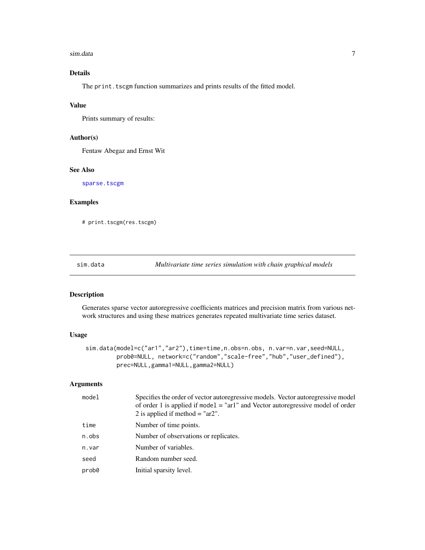#### <span id="page-6-0"></span>sim.data 7

## Details

The print.tscgm function summarizes and prints results of the fitted model.

## Value

Prints summary of results:

## Author(s)

Fentaw Abegaz and Ernst Wit

## See Also

[sparse.tscgm](#page-7-1)

## Examples

# print.tscgm(res.tscgm)

sim.data *Multivariate time series simulation with chain graphical models*

## Description

Generates sparse vector autoregressive coefficients matrices and precision matrix from various network structures and using these matrices generates repeated multivariate time series dataset.

#### Usage

```
sim.data(model=c("ar1","ar2"),time=time,n.obs=n.obs, n.var=n.var,seed=NULL,
        prob0=NULL, network=c("random","scale-free","hub","user_defined"),
        prec=NULL,gamma1=NULL,gamma2=NULL)
```
## Arguments

| model | Specifies the order of vector autoregressive models. Vector autoregressive model<br>of order 1 is applied if $model = "arl"$ and Vector autoregressive model of order<br>2 is applied if method $=$ "ar2". |
|-------|------------------------------------------------------------------------------------------------------------------------------------------------------------------------------------------------------------|
| time  | Number of time points.                                                                                                                                                                                     |
| n.obs | Number of observations or replicates.                                                                                                                                                                      |
| n.var | Number of variables.                                                                                                                                                                                       |
| seed  | Random number seed.                                                                                                                                                                                        |
| prob0 | Initial sparsity level.                                                                                                                                                                                    |
|       |                                                                                                                                                                                                            |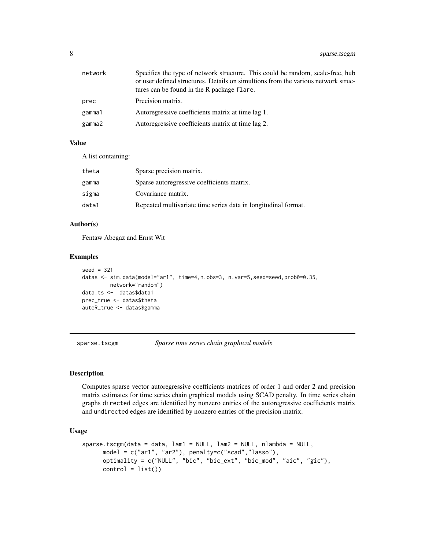<span id="page-7-0"></span>

| network | Specifies the type of network structure. This could be random, scale-free, hub<br>or user defined structures. Details on simultions from the various network struc-<br>tures can be found in the R package flare. |
|---------|-------------------------------------------------------------------------------------------------------------------------------------------------------------------------------------------------------------------|
| prec    | Precision matrix.                                                                                                                                                                                                 |
| gamma1  | Autoregressive coefficients matrix at time lag 1.                                                                                                                                                                 |
| gamma2  | Autoregressive coefficients matrix at time lag 2.                                                                                                                                                                 |

#### Value

A list containing:

| theta | Sparse precision matrix.                                       |
|-------|----------------------------------------------------------------|
| gamma | Sparse autoregressive coefficients matrix.                     |
| sigma | Covariance matrix.                                             |
| data1 | Repeated multivariate time series data in longitudinal format. |

#### Author(s)

Fentaw Abegaz and Ernst Wit

#### Examples

```
seed = 321datas <- sim.data(model="ar1", time=4,n.obs=3, n.var=5,seed=seed,prob0=0.35,
        network="random")
data.ts <- datas$data1
prec_true <- datas$theta
autoR_true <- datas$gamma
```
<span id="page-7-1"></span>sparse.tscgm *Sparse time series chain graphical models*

#### Description

Computes sparse vector autoregressive coefficients matrices of order 1 and order 2 and precision matrix estimates for time series chain graphical models using SCAD penalty. In time series chain graphs directed edges are identified by nonzero entries of the autoregressive coefficients matrix and undirected edges are identified by nonzero entries of the precision matrix.

#### Usage

```
sparse.tscgm(data = data, lam1 = NULL, lam2 = NULL, nlambda = NULL,
     model = c("ar1", "ar2"), penalty=c("scad","lasso"),
     optimality = c("NULL", "bic", "bic_ext", "bic_mod", "aic", "gic"),
     control = list()
```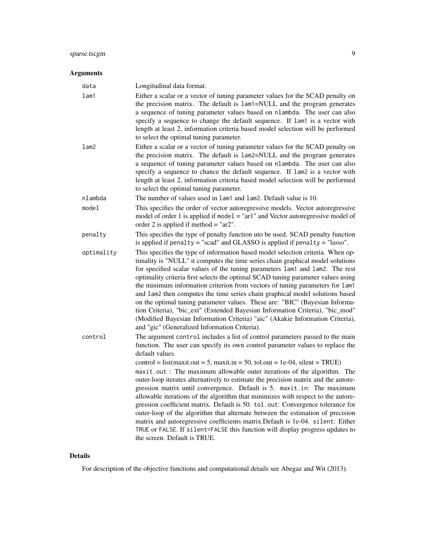## sparse.tscgm 9

## Arguments

| data       | Longitudinal data format.                                                                                                                                                                                                                                                                                                                                                                                                                                                                                                                                                                                                                                                                                                                                                                                                                                                                                                                                                   |
|------------|-----------------------------------------------------------------------------------------------------------------------------------------------------------------------------------------------------------------------------------------------------------------------------------------------------------------------------------------------------------------------------------------------------------------------------------------------------------------------------------------------------------------------------------------------------------------------------------------------------------------------------------------------------------------------------------------------------------------------------------------------------------------------------------------------------------------------------------------------------------------------------------------------------------------------------------------------------------------------------|
| $l$ am $1$ | Either a scalar or a vector of tuning parameter values for the SCAD penalty on<br>the precision matrix. The default is lam1=NULL and the program generates<br>a sequence of tuning parameter values based on nlambda. The user can also<br>specify a sequence to change the default sequence. If lam1 is a vector with<br>length at least 2, information criteria based model selection will be performed<br>to select the optimal tuning parameter.                                                                                                                                                                                                                                                                                                                                                                                                                                                                                                                        |
| lam2       | Either a scalar or a vector of tuning parameter values for the SCAD penalty on<br>the precision matrix. The default is 1am2=NULL and the program generates<br>a sequence of tuning parameter values based on nlambda. The user can also<br>specify a sequence to chance the default sequence. If lam2 is a vector with<br>length at least 2, information criteria based model selection will be performed<br>to select the optimal tuning parameter.                                                                                                                                                                                                                                                                                                                                                                                                                                                                                                                        |
| nlambda    | The number of values used in 1 am <sub>1</sub> and 1 am2. Default value is 10.                                                                                                                                                                                                                                                                                                                                                                                                                                                                                                                                                                                                                                                                                                                                                                                                                                                                                              |
| model      | This specifies the order of vector autoregressive models. Vector autoregressive<br>model of order 1 is applied if model $=$ "ar1" and Vector autoregressive model of<br>order 2 is applied if method = " $ar2$ ".                                                                                                                                                                                                                                                                                                                                                                                                                                                                                                                                                                                                                                                                                                                                                           |
| penalty    | This specifies the type of penalty function uto be used. SCAD penalty function<br>is applied if penalty = "scad" and GLASSO is applied if penalty = "lasso".                                                                                                                                                                                                                                                                                                                                                                                                                                                                                                                                                                                                                                                                                                                                                                                                                |
| optimality | This specifies the type of information based model selection criteria. When op-<br>timality is "NULL" it computes the time series chain graphical model solutions<br>for specified scalar values of the tuning parameters lam1 and lam2. The rest<br>optimality criteria first selects the optimal SCAD tuning parameter values using<br>the minimum information criterion from vectors of tuning parameters for lam1<br>and lam2 then computes the time series chain graphical model solutions based<br>on the optimal tuning parameter values. These are: "BIC" (Bayesian Informa-<br>tion Criteria), "bic_ext" (Extended Bayesian Information Criteria), "bic_mod"<br>(Modified Bayesian Information Criteria) "aic" (Akakie Information Criteria),<br>and "gic" (Generalized Information Criteria).                                                                                                                                                                     |
| control    | The argument control includes a list of control parameters passed to the main<br>function. The user can specify its own control parameter values to replace the<br>default values.<br>$control = list(maxit.out = 5, maxit.in = 50, tol.out = 1e-04, silent = TRUE)$<br>maxit.out: The maximum allowable outer iterations of the algorithm. The<br>outer-loop iterates alternatively to estimate the precision matrix and the autore-<br>gression matrix until convergence. Default is 5. maxit.in: The maximum<br>allowable iterations of the algorithm that minimizes with respect to the autore-<br>gression coefficient matrix. Default is 50. tol.out: Convergence tolerance for<br>outer-loop of the algorithm that alternate between the estimation of precision<br>matrix and autoregressive coefficients matrix. Default is 1e-04. silent: Either<br>TRUE or FALSE. If silent=FALSE this function will display progress updates to<br>the screen. Default is TRUE. |

## Details

For description of the objective functions and computational details see Abegaz and Wit (2013).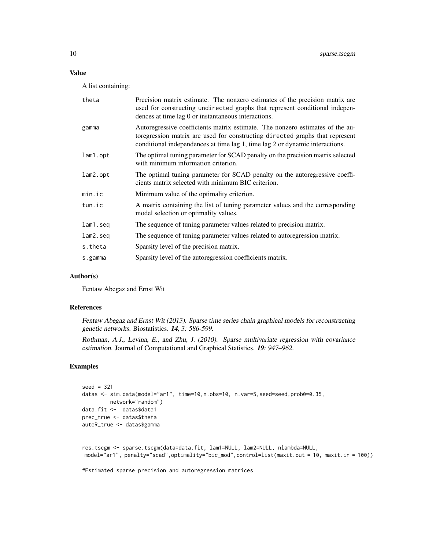#### Value

A list containing:

| theta    | Precision matrix estimate. The nonzero estimates of the precision matrix are<br>used for constructing undirected graphs that represent conditional indepen-<br>dences at time lag 0 or instantaneous interactions.                            |
|----------|-----------------------------------------------------------------------------------------------------------------------------------------------------------------------------------------------------------------------------------------------|
| gamma    | Autoregressive coefficients matrix estimate. The nonzero estimates of the au-<br>toregression matrix are used for constructing directed graphs that represent<br>conditional independences at time lag 1, time lag 2 or dynamic interactions. |
| lam1.opt | The optimal tuning parameter for SCAD penalty on the precision matrix selected<br>with minimum information criterion.                                                                                                                         |
| lam2.opt | The optimal tuning parameter for SCAD penalty on the autoregressive coeffi-<br>cients matrix selected with minimum BIC criterion.                                                                                                             |
| min.ic   | Minimum value of the optimality criterion.                                                                                                                                                                                                    |
| tun.ic   | A matrix containing the list of tuning parameter values and the corresponding<br>model selection or optimality values.                                                                                                                        |
| lam1.seq | The sequence of tuning parameter values related to precision matrix.                                                                                                                                                                          |
| lam2.seq | The sequence of tuning parameter values related to autoregression matrix.                                                                                                                                                                     |
| s.theta  | Sparsity level of the precision matrix.                                                                                                                                                                                                       |
| s.gamma  | Sparsity level of the autoregression coefficients matrix.                                                                                                                                                                                     |

## Author(s)

Fentaw Abegaz and Ernst Wit

#### References

Fentaw Abegaz and Ernst Wit (2013). Sparse time series chain graphical models for reconstructing genetic networks. Biostatistics. 14, 3: 586-599.

Rothman, A.J., Levina, E., and Zhu, J. (2010). Sparse multivariate regression with covariance estimation. Journal of Computational and Graphical Statistics. 19: 947–962.

## Examples

```
seed = 321
datas <- sim.data(model="ar1", time=10,n.obs=10, n.var=5,seed=seed,prob0=0.35,
        network="random")
data.fit <- datas$data1
prec_true <- datas$theta
autoR_true <- datas$gamma
```

```
res.tscgm <- sparse.tscgm(data=data.fit, lam1=NULL, lam2=NULL, nlambda=NULL,
model="ar1", penalty="scad",optimality="bic_mod",control=list(maxit.out = 10, maxit.in = 100))
```
#Estimated sparse precision and autoregression matrices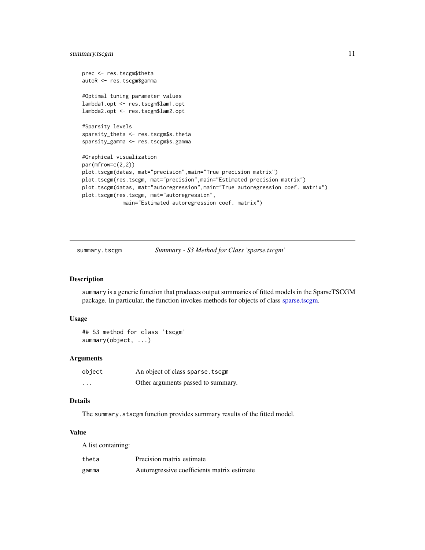```
prec <- res.tscgm$theta
autoR <- res.tscgm$gamma
#Optimal tuning parameter values
lambda1.opt <- res.tscgm$lam1.opt
lambda2.opt <- res.tscgm$lam2.opt
#Sparsity levels
sparsity_theta <- res.tscgm$s.theta
sparsity_gamma <- res.tscgm$s.gamma
#Graphical visualization
par(mfrow=c(2,2))
plot.tscgm(datas, mat="precision",main="True precision matrix")
plot.tscgm(res.tscgm, mat="precision",main="Estimated precision matrix")
plot.tscgm(datas, mat="autoregression",main="True autoregression coef. matrix")
plot.tscgm(res.tscgm, mat="autoregression",
            main="Estimated autoregression coef. matrix")
```
summary.tscgm *Summary - S3 Method for Class 'sparse.tscgm'*

#### Description

summary is a generic function that produces output summaries of fitted models in the SparseTSCGM package. In particular, the function invokes methods for objects of class [sparse.tscgm.](#page-7-1)

#### Usage

```
## S3 method for class 'tscgm'
summary(object, ...)
```
## Arguments

| object   | An object of class sparse, tscgm   |
|----------|------------------------------------|
| $\cdots$ | Other arguments passed to summary. |

## Details

The summary.stscgm function provides summary results of the fitted model.

#### Value

A list containing:

| theta | Precision matrix estimate                   |
|-------|---------------------------------------------|
| gamma | Autoregressive coefficients matrix estimate |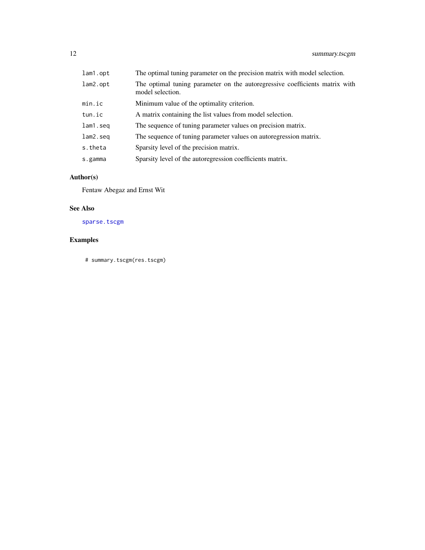<span id="page-11-0"></span>

| lam1.opt | The optimal tuning parameter on the precision matrix with model selection.                      |
|----------|-------------------------------------------------------------------------------------------------|
| lam2.opt | The optimal tuning parameter on the autoregressive coefficients matrix with<br>model selection. |
| min.ic   | Minimum value of the optimality criterion.                                                      |
| tun.ic   | A matrix containing the list values from model selection.                                       |
| lam1.seq | The sequence of tuning parameter values on precision matrix.                                    |
| lam2.seq | The sequence of tuning parameter values on autoregression matrix.                               |
| s.theta  | Sparsity level of the precision matrix.                                                         |
| s.gamma  | Sparsity level of the autoregression coefficients matrix.                                       |

## Author(s)

Fentaw Abegaz and Ernst Wit

## See Also

[sparse.tscgm](#page-7-1)

## Examples

# summary.tscgm(res.tscgm)